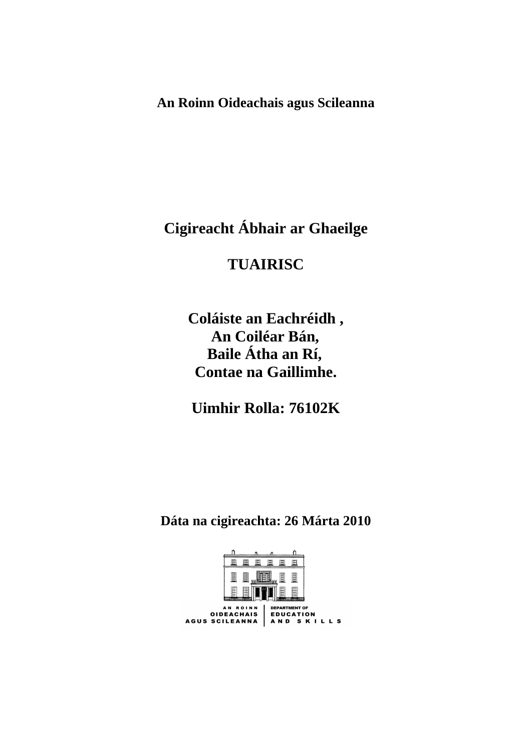**An Roinn Oideachais agus Scileanna** 

**Cigireacht Ábhair ar Ghaeilge** 

# **TUAIRISC**

**Coláiste an Eachréidh , An Coiléar Bán, Baile Átha an Rí, Contae na Gaillimhe.** 

**Uimhir Rolla: 76102K** 

**Dáta na cigireachta: 26 Márta 2010** 

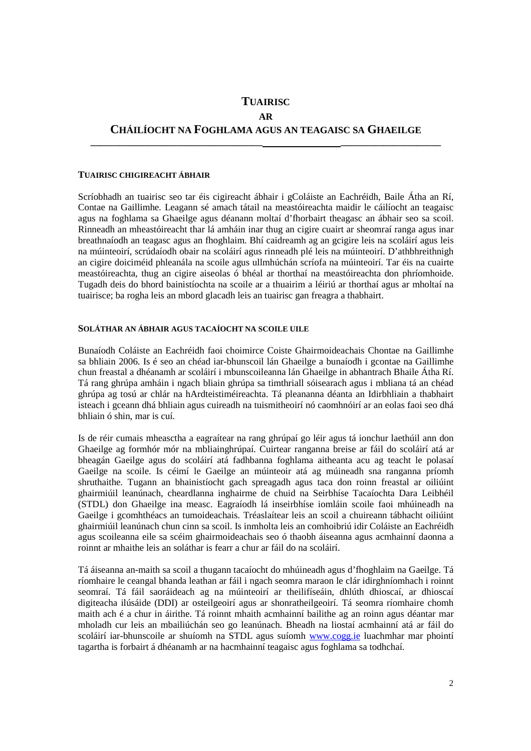## **TUAIRISC AR CHÁILÍOCHT NA FOGHLAMA AGUS AN TEAGAISC SA GHAEILGE**

**\_\_\_\_\_\_\_\_\_\_\_\_\_\_\_\_\_\_\_\_\_\_\_\_\_\_\_\_\_\_\_\_\_\_\_\_ \_\_\_\_\_\_\_\_\_\_\_\_\_\_\_\_\_\_\_\_\_** 

#### **TUAIRISC CHIGIREACHT ÁBHAIR**

Scríobhadh an tuairisc seo tar éis cigireacht ábhair i gColáiste an Eachréidh, Baile Átha an Rí, Contae na Gaillimhe. Leagann sé amach tátail na meastóireachta maidir le cáilíocht an teagaisc agus na foghlama sa Ghaeilge agus déanann moltaí d'fhorbairt theagasc an ábhair seo sa scoil. Rinneadh an mheastóireacht thar lá amháin inar thug an cigire cuairt ar sheomraí ranga agus inar breathnaíodh an teagasc agus an fhoghlaim. Bhí caidreamh ag an gcigire leis na scoláirí agus leis na múinteoirí, scrúdaíodh obair na scoláirí agus rinneadh plé leis na múinteoirí. D'athbhreithnigh an cigire doiciméid phleanála na scoile agus ullmhúchán scríofa na múinteoirí. Tar éis na cuairte meastóireachta, thug an cigire aiseolas ó bhéal ar thorthaí na meastóireachta don phríomhoide. Tugadh deis do bhord bainistíochta na scoile ar a thuairim a léiriú ar thorthaí agus ar mholtaí na tuairisce; ba rogha leis an mbord glacadh leis an tuairisc gan freagra a thabhairt.

#### **SOLÁTHAR AN ÁBHAIR AGUS TACAÍOCHT NA SCOILE UILE**

Bunaíodh Coláiste an Eachréidh faoi choimirce Coiste Ghairmoideachais Chontae na Gaillimhe sa bhliain 2006. Is é seo an chéad iar-bhunscoil lán Ghaeilge a bunaíodh i gcontae na Gaillimhe chun freastal a dhéanamh ar scoláirí i mbunscoileanna lán Ghaeilge in abhantrach Bhaile Átha Rí. Tá rang ghrúpa amháin i ngach bliain ghrúpa sa timthriall sóisearach agus i mbliana tá an chéad ghrúpa ag tosú ar chlár na hArdteistiméireachta. Tá pleananna déanta an Idirbhliain a thabhairt isteach i gceann dhá bhliain agus cuireadh na tuismitheoirí nó caomhnóirí ar an eolas faoi seo dhá bhliain ó shin, mar is cuí.

Is de réir cumais mheasctha a eagraítear na rang ghrúpaí go léir agus tá ionchur laethúil ann don Ghaeilge ag formhór mór na mbliainghrúpaí. Cuirtear ranganna breise ar fáil do scoláirí atá ar bheagán Gaeilge agus do scoláirí atá fadhbanna foghlama aitheanta acu ag teacht le polasaí Gaeilge na scoile. Is céimí le Gaeilge an múinteoir atá ag múineadh sna ranganna príomh shruthaithe. Tugann an bhainistíocht gach spreagadh agus taca don roinn freastal ar oiliúint ghairmiúil leanúnach, cheardlanna inghairme de chuid na Seirbhíse Tacaíochta Dara Leibhéil (STDL) don Ghaeilge ina measc. Eagraíodh lá inseirbhíse iomláin scoile faoi mhúineadh na Gaeilge i gcomhthéacs an tumoideachais. Tréaslaítear leis an scoil a chuireann tábhacht oiliúint ghairmiúil leanúnach chun cinn sa scoil. Is inmholta leis an comhoibriú idir Coláiste an Eachréidh agus scoileanna eile sa scéim ghairmoideachais seo ó thaobh áiseanna agus acmhainní daonna a roinnt ar mhaithe leis an soláthar is fearr a chur ar fáil do na scoláirí.

Tá áiseanna an-maith sa scoil a thugann tacaíocht do mhúineadh agus d'fhoghlaim na Gaeilge. Tá ríomhaire le ceangal bhanda leathan ar fáil i ngach seomra maraon le clár idirghníomhach i roinnt seomraí. Tá fáil saoráideach ag na múinteoirí ar theilifíseáin, dhlúth dhioscaí, ar dhioscaí digiteacha ilúsáide (DDI) ar osteilgeoirí agus ar shonratheilgeoirí. Tá seomra ríomhaire chomh maith ach é a chur in áirithe. Tá roinnt mhaith acmhainní bailithe ag an roinn agus déantar mar mholadh cur leis an mbailiúchán seo go leanúnach. Bheadh na liostaí acmhainní atá ar fáil do scoláirí iar-bhunscoile ar shuíomh na STDL agus suíomh www.cogg.ie luachmhar mar phointí tagartha is forbairt á dhéanamh ar na hacmhainní teagaisc agus foghlama sa todhchaí.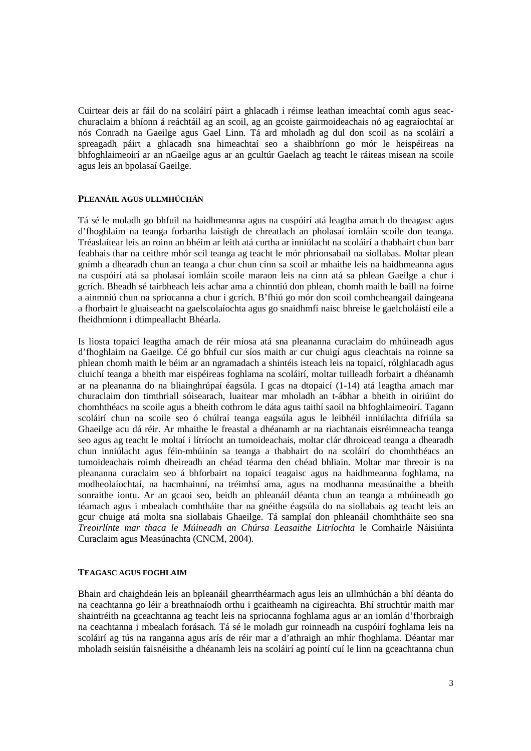Cuirtear deis ar fáil do na scoláirí páirt a ghlacadh i réimse leathan imeachtaí comh agus seacchuraclaim a bhíonn á reáchtáil ag an scoil, ag an gcoiste gairmoideachais nó ag eagraíochtaí ar nós Conradh na Gaeilge agus Gael Linn. Tá ard mholadh ag dul don scoil as na scoláirí a spreagadh páirt a ghlacadh sna himeachtaí seo a shaibhríonn go mór le heispéireas na bhfoghlaimeoirí ar an nGaeilge agus ar an gcultúr Gaelach ag teacht le ráiteas misean na scoile agus leis an bpolasaí Gaeilge.

#### **PLEANÁIL AGUS ULLMHÚCHÁN**

Tá sé le moladh go bhfuil na haidhmeanna agus na cuspóirí atá leagtha amach do theagasc agus d'fhoghlaim na teanga forbartha laistigh de chreatlach an pholasaí iomláin scoile don teanga. Tréaslaítear leis an roinn an bhéim ar leith atá curtha ar inniúlacht na scoláirí a thabhairt chun barr feabhais thar na ceithre mhór scil teanga ag teacht le mór phrionsabail na siollabas. Moltar plean gnímh a dhearadh chun an teanga a chur chun cinn sa scoil ar mhaithe leis na haidhmeanna agus na cuspóirí atá sa pholasaí iomláin scoile maraon leis na cinn atá sa phlean Gaeilge a chur i gcrích. Bheadh sé tairbheach leis achar ama a chinntiú don phlean, chomh maith le baill na foirne a ainmniú chun na spriocanna a chur i gcrích. B'fhiú go mór don scoil comhcheangail daingeana a fhorbairt le gluaiseacht na gaelscolaíochta agus go snaidhmfí naisc bhreise le gaelcholáistí eile a fheidhmíonn i dtimpeallacht Bhéarla.

Is liosta topaicí leagtha amach de réir míosa atá sna pleananna curaclaim do mhúineadh agus d'fhoghlaim na Gaeilge. Cé go bhfuil cur síos maith ar cur chuigí agus cleachtais na roinne sa phlean chomh maith le béim ar an ngramadach a shintéis isteach leis na topaicí, rólghlacadh agus cluichí teanga a bheith mar eispéireas foghlama na scoláirí, moltar tuilleadh forbairt a dhéanamh ar na pleananna do na bliainghrúpaí éagsúla. I gcas na dtopaicí (1-14) atá leagtha amach mar churaclaim don timthriall sóisearach, luaitear mar mholadh an t-ábhar a bheith in oiriúint do chomhthéacs na scoile agus a bheith cothrom le dáta agus taithí saoil na bhfoghlaimeoirí. Tagann scoláirí chun na scoile seo ó chúlraí teanga eagsúla agus le leibhéil inniúlachta difriúla sa Ghaeilge acu dá réir. Ar mhaithe le freastal a dhéanamh ar na riachtanais eisréimneacha teanga seo agus ag teacht le moltaí i lítríocht an tumoideachais, moltar clár dhroicead teanga a dhearadh chun inniúlacht agus féin-mhúinín sa teanga a thabhairt do na scoláirí do chomhthéacs an tumoideachais roimh dheireadh an chéad téarma den chéad bhliain. Moltar mar threoir is na pleananna curaclaim seo á bhforbairt na topaicí teagaisc agus na haidhmeanna foghlama, na modheolaíochtaí, na hacmhainní, na tréimhsí ama, agus na modhanna measúnaithe a bheith sonraithe iontu. Ar an gcaoi seo, beidh an phleanáil déanta chun an teanga a mhúineadh go téamach agus i mbealach comhtháite thar na gnéithe éagsúla do na siollabais ag teacht leis an gcur chuige atá molta sna siollabais Ghaeilge. Tá samplaí don phleanáil chomhtháite seo sna *Treoirlínte mar thaca le Múineadh an Chúrsa Leasaithe Litríochta* le Comhairle Náisiúnta Curaclaim agus Measúnachta (CNCM, 2004).

#### **TEAGASC AGUS FOGHLAIM**

Bhain ard chaighdeán leis an bpleanáil ghearrthéarmach agus leis an ullmhúchán a bhí déanta do na ceachtanna go léir a breathnaíodh orthu i gcaitheamh na cigireachta. Bhí struchtúr maith mar shaintréith na gceachtanna ag teacht leis na spriocanna foghlama agus ar an iomlán d'fhorbraigh na ceachtanna i mbealach forásach. Tá sé le moladh gur roinneadh na cuspóirí foghlama leis na scoláirí ag tús na ranganna agus arís de réir mar a d'athraigh an mhír fhoghlama. Déantar mar mholadh seisiún faisnéisithe a dhéanamh leis na scoláirí ag pointí cuí le linn na gceachtanna chun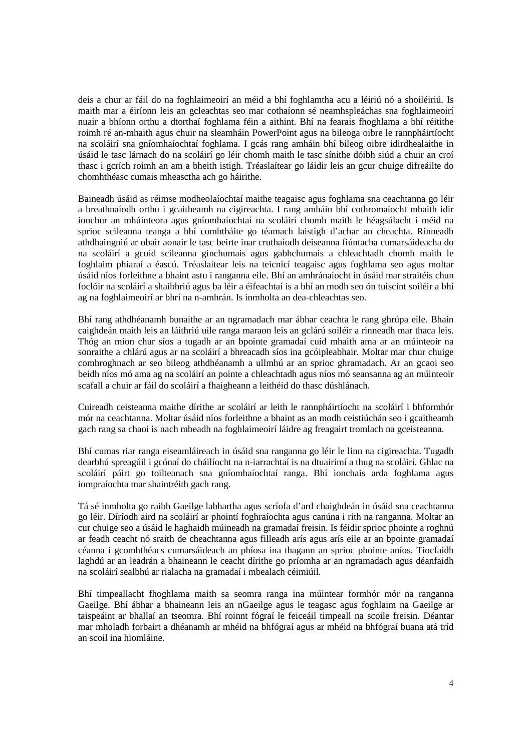deis a chur ar fáil do na foghlaimeoirí an méid a bhí foghlamtha acu a léiriú nó a shoiléiriú. Is maith mar a éiríonn leis an gcleachtas seo mar cothaíonn sé neamhspleáchas sna foghlaimeoirí nuair a bhíonn orthu a dtorthaí foghlama féin a aithint. Bhí na fearais fhoghlama a bhí réitithe roimh ré an-mhaith agus chuir na sleamháin PowerPoint agus na bileoga oibre le rannpháirtíocht na scoláirí sna gníomhaíochtaí foghlama. I gcás rang amháin bhí bileog oibre idirdhealaithe in úsáid le tasc lárnach do na scoláirí go léir chomh maith le tasc sínithe dóibh siúd a chuir an croí thasc i gcrích roimh an am a bheith istigh. Tréaslaítear go láidir leis an gcur chuige difreáilte do chomhthéasc cumais mheasctha ach go háirithe.

Baineadh úsáid as réimse modheolaíochtaí maithe teagaisc agus foghlama sna ceachtanna go léir a breathnaíodh orthu i gcaitheamh na cigireachta. I rang amháin bhí cothromaíocht mhaith idir ionchur an mhúinteora agus gníomhaíochtaí na scoláirí chomh maith le héagsúlacht i méid na sprioc scileanna teanga a bhí comhtháite go téamach laistigh d'achar an cheachta. Rinneadh athdhaingniú ar obair aonair le tasc beirte inar cruthaíodh deiseanna fiúntacha cumarsáideacha do na scoláirí a gcuid scileanna ginchumais agus gabhchumais a chleachtadh chomh maith le foghlaim phiaraí a éascú. Tréaslaítear leis na teicnící teagaisc agus foghlama seo agus moltar úsáid níos forleithne a bhaint astu i ranganna eile. Bhí an amhránaíocht in úsáid mar straitéis chun foclóir na scoláirí a shaibhriú agus ba léir a éifeachtaí is a bhí an modh seo ón tuiscint soiléir a bhí ag na foghlaimeoirí ar bhrí na n-amhrán. Is inmholta an dea-chleachtas seo.

Bhí rang athdhéanamh bunaithe ar an ngramadach mar ábhar ceachta le rang ghrúpa eile. Bhain caighdeán maith leis an láithriú uile ranga maraon leis an gclárú soiléir a rinneadh mar thaca leis. Thóg an mion chur síos a tugadh ar an bpointe gramadaí cuid mhaith ama ar an múinteoir na sonraithe a chlárú agus ar na scoláirí a bhreacadh síos ina gcóipleabhair. Moltar mar chur chuige comhroghnach ar seo bileog athdhéanamh a ullmhú ar an sprioc ghramadach. Ar an gcaoi seo beidh níos mó ama ag na scoláirí an pointe a chleachtadh agus níos mó seansanna ag an múinteoir scafall a chuir ar fáil do scoláirí a fhaigheann a leithéid do thasc dúshlánach.

Cuireadh ceisteanna maithe dírithe ar scoláirí ar leith le rannpháirtíocht na scoláirí i bhformhór mór na ceachtanna. Moltar úsáid níos forleithne a bhaint as an modh ceistiúchán seo i gcaitheamh gach rang sa chaoi is nach mbeadh na foghlaimeoirí láidre ag freagairt tromlach na gceisteanna.

Bhí cumas riar ranga eiseamláireach in úsáid sna ranganna go léir le linn na cigireachta. Tugadh dearbhú spreagúil i gcónaí do cháilíocht na n-iarrachtaí is na dtuairimí a thug na scoláirí. Ghlac na scoláirí páirt go toilteanach sna gníomhaíochtaí ranga. Bhí ionchais arda foghlama agus iompraíochta mar shaintréith gach rang.

Tá sé inmholta go raibh Gaeilge labhartha agus scríofa d'ard chaighdeán in úsáid sna ceachtanna go léir. Díríodh aird na scoláirí ar phointí foghraíochta agus canúna i rith na ranganna. Moltar an cur chuige seo a úsáid le haghaidh múineadh na gramadaí freisin. Is féidir sprioc phointe a roghnú ar feadh ceacht nó sraith de cheachtanna agus filleadh arís agus arís eile ar an bpointe gramadaí céanna i gcomhthéacs cumarsáideach an phíosa ina thagann an sprioc phointe aníos. Tiocfaidh laghdú ar an leadrán a bhaineann le ceacht dírithe go príomha ar an ngramadach agus déanfaidh na scoláirí sealbhú ar rialacha na gramadaí i mbealach céimiúil.

Bhí timpeallacht fhoghlama maith sa seomra ranga ina múintear formhór mór na ranganna Gaeilge. Bhí ábhar a bhaineann leis an nGaeilge agus le teagasc agus foghlaim na Gaeilge ar taispeáint ar bhallaí an tseomra. Bhí roinnt fógraí le feiceáil timpeall na scoile freisin. Déantar mar mholadh forbairt a dhéanamh ar mhéid na bhfógraí agus ar mhéid na bhfógraí buana atá tríd an scoil ina hiomláine.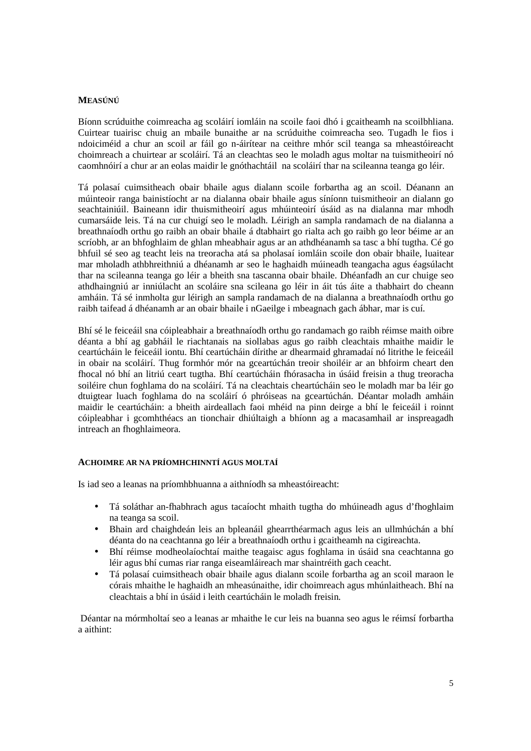#### **MEASÚNÚ**

Bíonn scrúduithe coimreacha ag scoláirí iomláin na scoile faoi dhó i gcaitheamh na scoilbhliana. Cuirtear tuairisc chuig an mbaile bunaithe ar na scrúduithe coimreacha seo. Tugadh le fios i ndoiciméid a chur an scoil ar fáil go n-áirítear na ceithre mhór scil teanga sa mheastóireacht choimreach a chuirtear ar scoláirí. Tá an cleachtas seo le moladh agus moltar na tuismitheoirí nó caomhnóirí a chur ar an eolas maidir le gnóthachtáil na scoláirí thar na scileanna teanga go léir.

Tá polasaí cuimsitheach obair bhaile agus dialann scoile forbartha ag an scoil. Déanann an múinteoir ranga bainistíocht ar na dialanna obair bhaile agus síníonn tuismitheoir an dialann go seachtainiúil. Baineann idir thuismitheoirí agus mhúinteoirí úsáid as na dialanna mar mhodh cumarsáide leis. Tá na cur chuigí seo le moladh. Léirigh an sampla randamach de na dialanna a breathnaíodh orthu go raibh an obair bhaile á dtabhairt go rialta ach go raibh go leor béime ar an scríobh, ar an bhfoghlaim de ghlan mheabhair agus ar an athdhéanamh sa tasc a bhí tugtha. Cé go bhfuil sé seo ag teacht leis na treoracha atá sa pholasaí iomláin scoile don obair bhaile, luaitear mar mholadh athbhreithniú a dhéanamh ar seo le haghaidh múineadh teangacha agus éagsúlacht thar na scileanna teanga go léir a bheith sna tascanna obair bhaile. Dhéanfadh an cur chuige seo athdhaingniú ar inniúlacht an scoláire sna scileana go léir in áit tús áite a thabhairt do cheann amháin. Tá sé inmholta gur léirigh an sampla randamach de na dialanna a breathnaíodh orthu go raibh taifead á dhéanamh ar an obair bhaile i nGaeilge i mbeagnach gach ábhar, mar is cuí.

Bhí sé le feiceáil sna cóipleabhair a breathnaíodh orthu go randamach go raibh réimse maith oibre déanta a bhí ag gabháil le riachtanais na siollabas agus go raibh cleachtais mhaithe maidir le ceartúcháin le feiceáil iontu. Bhí ceartúcháin dírithe ar dhearmaid ghramadaí nó litrithe le feiceáil in obair na scoláirí. Thug formhór mór na gceartúchán treoir shoiléir ar an bhfoirm cheart den fhocal nó bhí an litriú ceart tugtha. Bhí ceartúcháin fhórasacha in úsáid freisin a thug treoracha soiléire chun foghlama do na scoláirí. Tá na cleachtais cheartúcháin seo le moladh mar ba léir go dtuigtear luach foghlama do na scoláirí ó phróiseas na gceartúchán. Déantar moladh amháin maidir le ceartúcháin: a bheith airdeallach faoi mhéid na pinn deirge a bhí le feiceáil i roinnt cóipleabhar i gcomhthéacs an tionchair dhiúltaigh a bhíonn ag a macasamhail ar inspreagadh intreach an fhoghlaimeora.

### **ACHOIMRE AR NA PRÍOMHCHINNTÍ AGUS MOLTAÍ**

Is iad seo a leanas na príomhbhuanna a aithníodh sa mheastóireacht:

- Tá soláthar an-fhabhrach agus tacaíocht mhaith tugtha do mhúineadh agus d'fhoghlaim na teanga sa scoil.
- Bhain ard chaighdeán leis an bpleanáil ghearrthéarmach agus leis an ullmhúchán a bhí déanta do na ceachtanna go léir a breathnaíodh orthu i gcaitheamh na cigireachta.
- Bhí réimse modheolaíochtaí maithe teagaisc agus foghlama in úsáid sna ceachtanna go léir agus bhí cumas riar ranga eiseamláireach mar shaintréith gach ceacht.
- Tá polasaí cuimsitheach obair bhaile agus dialann scoile forbartha ag an scoil maraon le córais mhaithe le haghaidh an mheasúnaithe, idir choimreach agus mhúnlaitheach. Bhí na cleachtais a bhí in úsáid i leith ceartúcháin le moladh freisin.

 Déantar na mórmholtaí seo a leanas ar mhaithe le cur leis na buanna seo agus le réimsí forbartha a aithint: